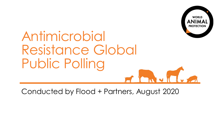

# Antimicrobial Resistance Global Public Polling

Conducted by Flood + Partners, August 2020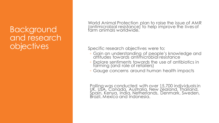#### Background and research **objectives**

World Animal Protection plan to raise the issue of AMR (antimicrobial resistance) to help improve the lives of farm animals worldwide.

Specific research objectives were to:

- Gain an understanding of people's knowledge and attitudes towards antimicrobial resistance
- Explore sentiments towards the use of antibiotics in farming (and role of retailers)
- Gauge concerns around human health impacts

Polling was conducted with over 15,700 individuals in UK, USA, Canada, Australia, New Zealand, Thailand, Spain, Kenya, India, Netherlands, Denmark, Sweden, Brazil, Mexico and Indonesia.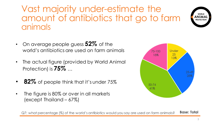Vast majority under-estimate the amount of antibiotics that go to farm animals



- On average people guess **52%** of the world's antibiotics are used on farm animals
- The actual figure (provided by World Animal Protection) is **75%** …
- **82%** of people think that it's under 75%
- The figure is 80% or over in all markets (except Thailand – 67%)



Q7: what percentage (%) of the world's antibiotics would you say are used on farm animals? **Base: Total**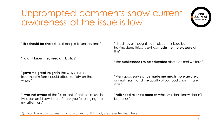# Unprompted comments show current awareness of the issue is low



**"This should be shared** to all people to understand"

**"I didn't know** they used antibiotics"

"I had never thought much about this issue but having done this survey has **made me more aware** of this"

"the **public needs to be educated** about animal welfare"

**"gave me great insight** in the ways animal treatment in farms could affect society on the whole"

**"I was not aware** of the full extent of antibiotics use in livestock until I saw it here. Thank you for bringing it to my attention."

"Very good survey, **has made me much more aware** of animal health and the quality of our food chain, thank you."

**"Folk need to know more** as what we don't know doesn't bother us"

Q: If you have any comments on any aspect of this study please enter them here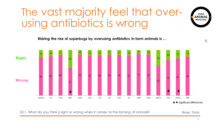# The vast majority feel that overusing antibiotics is wrong

**Risking the rise of superbugs by overusing antibiotics in farm animals is …**



Q11. What do you think is right or wrong when it comes to the farming of animals?

Base: Total

 $\%$ 

**WORLD**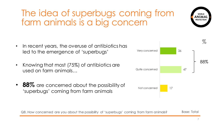7

#### The idea of superbugs coming from farm animals is a big concern

- In recent years, the overuse of antibiotics has led to the emergence of 'superbugs'
- Knowing that most (75%) of antibiotics are used on farm animals…
- 88% are concerned about the possibility of 'superbugs' coming from farm animals



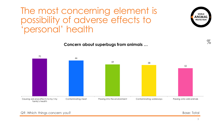#### The most concerning element is possibility of adverse effects to 'personal' health

66

**Concern about superbugs from animals …**



70

 $\%$ 

**WORLD** ANIMAI **PROTECTION**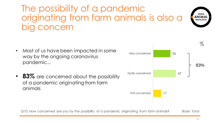### The possibility of a pandemic originating from farm animals is also a concern





- Most of us have been impacted in some way by the ongoing coronavirus pandemic...
- **83%** are concerned about the possibility of a pandemic originating from farm animals

Q10. How concerned are you by the possibility of a pandemic originating from farm animals? Base: Total

10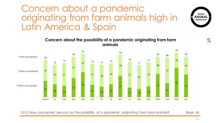#### Concern about a pandemic originating from farm animals high in Latin America & Spain



**Concern about the possibility of a pandemic originating from farm animals**

Q10. How concerned are you by the possibility of a pandemic originating from farm animals?

Base: all

 $\%$ 

**WORLD ANIMAI PROTECTION**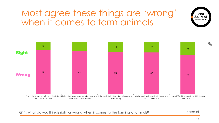# Most agree these things are 'wrong' when it comes to farm animals



Q11. What do you think is right or wrong when it comes to the farming of animals?

Base: all

**WORLD ANIMA**I **PROTECTION**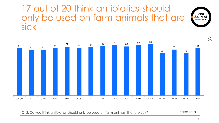#### 17 out of 20 think antibiotics should only be used on farm animals that are sick



Q12: Do you think antibiotics should only be used on farm animals that are sick?

Base: Total

WORLD<br>ANIMAL<br>PROTECTION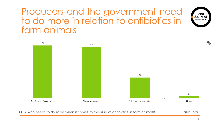Producers and the government need to do more in relation to antibiotics in farm animals



Q13: Who needs to do more when it comes to the issue of antibiotics in farm animals?

Base: Total

**WORLD** ANIMAL **PROTECTION**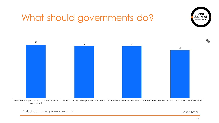

# What should governments do?

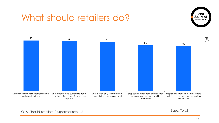#### What should retailers do?





Base: Total

16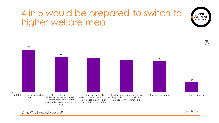# 4 in 5 would be prepared to switch to higher welfare meat



Base: Total

world<br>ANIMAL **PROTECTION**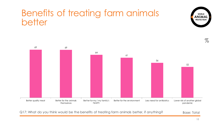### Benefits of treating farm animals better



Q17: What do you think would be the benefits of treating farm animals better, if anything?

Base: Total

**WORLD INIMA PROTECTION**